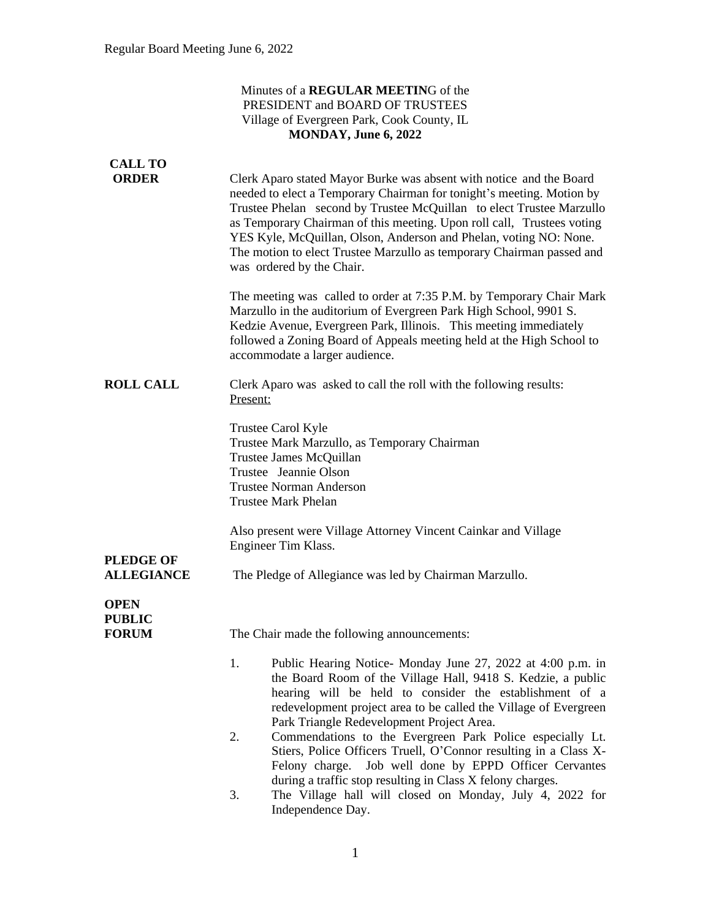#### Minutes of a **REGULAR MEETIN**G of the PRESIDENT and BOARD OF TRUSTEES Village of Evergreen Park, Cook County, IL **MONDAY, June 6, 2022**

| <b>CALL TO</b>                        |                                                                                                                                                                                                                                                                                                                                                                                                                                                                           |  |  |  |  |  |
|---------------------------------------|---------------------------------------------------------------------------------------------------------------------------------------------------------------------------------------------------------------------------------------------------------------------------------------------------------------------------------------------------------------------------------------------------------------------------------------------------------------------------|--|--|--|--|--|
| <b>ORDER</b>                          | Clerk Aparo stated Mayor Burke was absent with notice and the Board<br>needed to elect a Temporary Chairman for tonight's meeting. Motion by<br>Trustee Phelan second by Trustee McQuillan to elect Trustee Marzullo<br>as Temporary Chairman of this meeting. Upon roll call, Trustees voting<br>YES Kyle, McQuillan, Olson, Anderson and Phelan, voting NO: None.<br>The motion to elect Trustee Marzullo as temporary Chairman passed and<br>was ordered by the Chair. |  |  |  |  |  |
|                                       | The meeting was called to order at 7:35 P.M. by Temporary Chair Mark<br>Marzullo in the auditorium of Evergreen Park High School, 9901 S.<br>Kedzie Avenue, Evergreen Park, Illinois. This meeting immediately<br>followed a Zoning Board of Appeals meeting held at the High School to<br>accommodate a larger audience.                                                                                                                                                 |  |  |  |  |  |
| <b>ROLL CALL</b>                      | Clerk Aparo was asked to call the roll with the following results:<br>Present:                                                                                                                                                                                                                                                                                                                                                                                            |  |  |  |  |  |
|                                       | Trustee Carol Kyle<br>Trustee Mark Marzullo, as Temporary Chairman<br>Trustee James McQuillan<br>Trustee Jeannie Olson<br><b>Trustee Norman Anderson</b><br><b>Trustee Mark Phelan</b>                                                                                                                                                                                                                                                                                    |  |  |  |  |  |
|                                       | Also present were Village Attorney Vincent Cainkar and Village<br>Engineer Tim Klass.                                                                                                                                                                                                                                                                                                                                                                                     |  |  |  |  |  |
| <b>PLEDGE OF</b><br><b>ALLEGIANCE</b> | The Pledge of Allegiance was led by Chairman Marzullo.                                                                                                                                                                                                                                                                                                                                                                                                                    |  |  |  |  |  |
| <b>OPEN</b><br><b>PUBLIC</b>          |                                                                                                                                                                                                                                                                                                                                                                                                                                                                           |  |  |  |  |  |
| <b>FORUM</b>                          | The Chair made the following announcements:                                                                                                                                                                                                                                                                                                                                                                                                                               |  |  |  |  |  |
|                                       | Public Hearing Notice- Monday June 27, 2022 at 4:00 p.m. in<br>1.<br>the Board Room of the Village Hall, 9418 S. Kedzie, a public<br>hearing will be held to consider the establishment of a<br>redevelopment project area to be called the Village of Evergreen<br>Park Triangle Redevelopment Project Area.                                                                                                                                                             |  |  |  |  |  |
|                                       | 2.<br>Commendations to the Evergreen Park Police especially Lt.<br>Stiers, Police Officers Truell, O'Connor resulting in a Class X-<br>Job well done by EPPD Officer Cervantes<br>Felony charge.                                                                                                                                                                                                                                                                          |  |  |  |  |  |
|                                       | during a traffic stop resulting in Class X felony charges.<br>3.<br>The Village hall will closed on Monday, July 4, 2022 for<br>Independence Day.                                                                                                                                                                                                                                                                                                                         |  |  |  |  |  |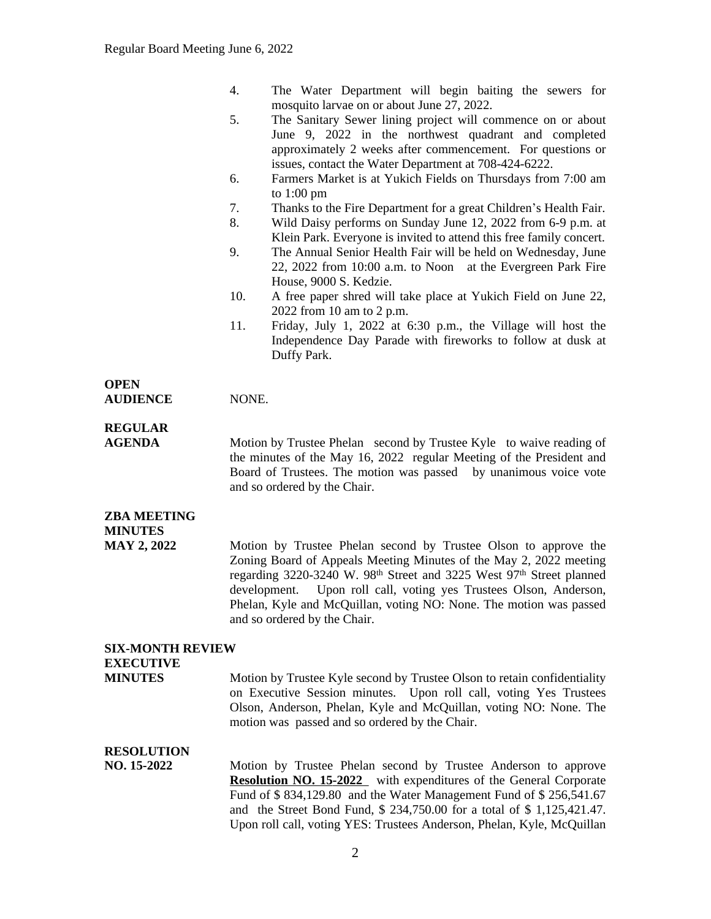|  | The Water Department will begin baiting the sewers for |  |  |  |
|--|--------------------------------------------------------|--|--|--|
|  | mosquito larvae on or about June 27, 2022.             |  |  |  |

- 5. The Sanitary Sewer lining project will commence on or about June 9, 2022 in the northwest quadrant and completed approximately 2 weeks after commencement. For questions or issues, contact the Water Department at 708-424-6222.
- 6. Farmers Market is at Yukich Fields on Thursdays from 7:00 am to 1:00 pm
- 7. Thanks to the Fire Department for a great Children's Health Fair.
- 8. Wild Daisy performs on Sunday June 12, 2022 from 6-9 p.m. at Klein Park. Everyone is invited to attend this free family concert.
- 9. The Annual Senior Health Fair will be held on Wednesday, June 22, 2022 from 10:00 a.m. to Noon at the Evergreen Park Fire House, 9000 S. Kedzie.
- 10. A free paper shred will take place at Yukich Field on June 22, 2022 from 10 am to 2 p.m.
- 11. Friday, July 1, 2022 at 6:30 p.m., the Village will host the Independence Day Parade with fireworks to follow at dusk at Duffy Park.

#### **OPEN AUDIENCE** NONE.

# **REGULAR**

**AGENDA** Motion by Trustee Phelan second by Trustee Kyle to waive reading of the minutes of the May 16, 2022 regular Meeting of the President and Board of Trustees. The motion was passed by unanimous voice vote and so ordered by the Chair.

## **ZBA MEETING MINUTES**

**MAY 2, 2022** Motion by Trustee Phelan second by Trustee Olson to approve the Zoning Board of Appeals Meeting Minutes of the May 2, 2022 meeting regarding 3220-3240 W. 98th Street and 3225 West 97th Street planned development. Upon roll call, voting yes Trustees Olson, Anderson, Phelan, Kyle and McQuillan, voting NO: None. The motion was passed and so ordered by the Chair.

# **SIX-MONTH REVIEW EXECUTIVE**

**MINUTES** Motion by Trustee Kyle second by Trustee Olson to retain confidentiality on Executive Session minutes. Upon roll call, voting Yes Trustees Olson, Anderson, Phelan, Kyle and McQuillan, voting NO: None. The motion was passed and so ordered by the Chair.

### **RESOLUTION**

**NO. 15-2022** Motion by Trustee Phelan second by Trustee Anderson to approve **Resolution NO. 15-2022** with expenditures of the General Corporate Fund of \$ 834,129.80 and the Water Management Fund of \$ 256,541.67 and the Street Bond Fund, \$ 234,750.00 for a total of \$ 1,125,421.47. Upon roll call, voting YES: Trustees Anderson, Phelan, Kyle, McQuillan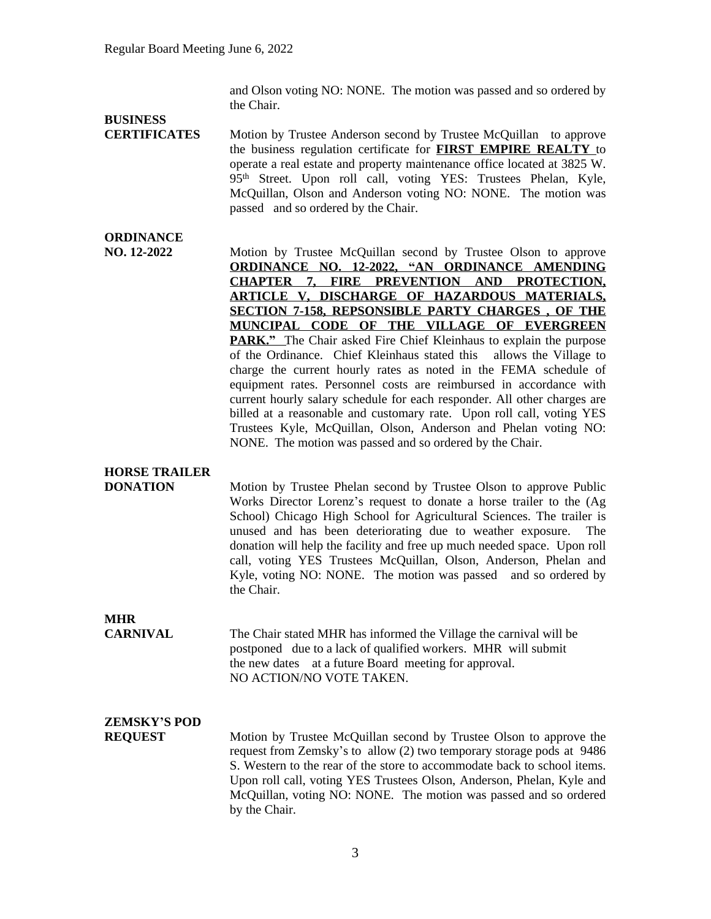and Olson voting NO: NONE. The motion was passed and so ordered by the Chair.

# **BUSINESS**

**CERTIFICATES** Motion by Trustee Anderson second by Trustee McQuillan to approve the business regulation certificate for **FIRST EMPIRE REALTY** to operate a real estate and property maintenance office located at 3825 W. 95<sup>th</sup> Street. Upon roll call, voting YES: Trustees Phelan, Kyle, McQuillan, Olson and Anderson voting NO: NONE. The motion was passed and so ordered by the Chair.

## **ORDINANCE**

**NO. 12-2022** Motion by Trustee McQuillan second by Trustee Olson to approve **ORDINANCE NO. 12-2022, "AN ORDINANCE AMENDING CHAPTER 7, FIRE PREVENTION AND PROTECTION, ARTICLE V, DISCHARGE OF HAZARDOUS MATERIALS, SECTION 7-158, REPSONSIBLE PARTY CHARGES , OF THE MUNCIPAL CODE OF THE VILLAGE OF EVERGREEN PARK."** The Chair asked Fire Chief Kleinhaus to explain the purpose of the Ordinance. Chief Kleinhaus stated this allows the Village to charge the current hourly rates as noted in the FEMA schedule of equipment rates. Personnel costs are reimbursed in accordance with current hourly salary schedule for each responder. All other charges are billed at a reasonable and customary rate. Upon roll call, voting YES Trustees Kyle, McQuillan, Olson, Anderson and Phelan voting NO: NONE. The motion was passed and so ordered by the Chair.

## **HORSE TRAILER**

**DONATION** Motion by Trustee Phelan second by Trustee Olson to approve Public Works Director Lorenz's request to donate a horse trailer to the (Ag School) Chicago High School for Agricultural Sciences. The trailer is unused and has been deteriorating due to weather exposure. The donation will help the facility and free up much needed space. Upon roll call, voting YES Trustees McQuillan, Olson, Anderson, Phelan and Kyle, voting NO: NONE. The motion was passed and so ordered by the Chair.

## **MHR**

**CARNIVAL** The Chair stated MHR has informed the Village the carnival will be postponed due to a lack of qualified workers. MHR will submit the new dates at a future Board meeting for approval. NO ACTION/NO VOTE TAKEN.

## **ZEMSKY'S POD**

**REQUEST** Motion by Trustee McQuillan second by Trustee Olson to approve the request from Zemsky's to allow (2) two temporary storage pods at 9486 S. Western to the rear of the store to accommodate back to school items. Upon roll call, voting YES Trustees Olson, Anderson, Phelan, Kyle and McQuillan, voting NO: NONE. The motion was passed and so ordered by the Chair.